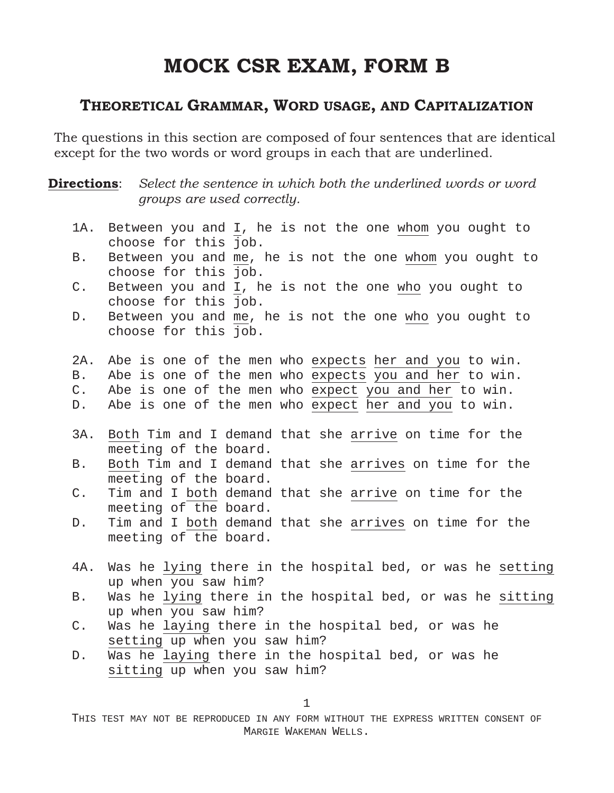# **MOCK CSR EXAM, FORM B**

### **THEORETICAL GRAMMAR, WORD USAGE, AND CAPITALIZATION**

The questions in this section are composed of four sentences that are identical except for the two words or word groups in each that are underlined.

**Directions**: *Select the sentence in which both the underlined words or word groups are used correctly.*

- 1A. Between you and I, he is not the one whom you ought to choose for this job.
- B. Between you and me, he is not the one whom you ought to choose for this job.
- C. Between you and I, he is not the one who you ought to choose for this job.
- D. Between you and me, he is not the one who you ought to choose for this job.
- 2A. Abe is one of the men who expects her and you to win.
- B. Abe is one of the men who expects you and her to win.
- C. Abe is one of the men who expect you and her to win.
- D. Abe is one of the men who expect her and you to win.
- 3A. Both Tim and I demand that she arrive on time for the meeting of the board.
- B. Both Tim and I demand that she arrives on time for the meeting of the board.
- C. Tim and I both demand that she arrive on time for the meeting of the board.
- D. Tim and I both demand that she arrives on time for the meeting of the board.
- 4A. Was he lying there in the hospital bed, or was he setting up when you saw him?
- B. Was he lying there in the hospital bed, or was he sitting up when you saw him?
- C. Was he laying there in the hospital bed, or was he setting up when you saw him?
- D. Was he laying there in the hospital bed, or was he sitting up when you saw him?

1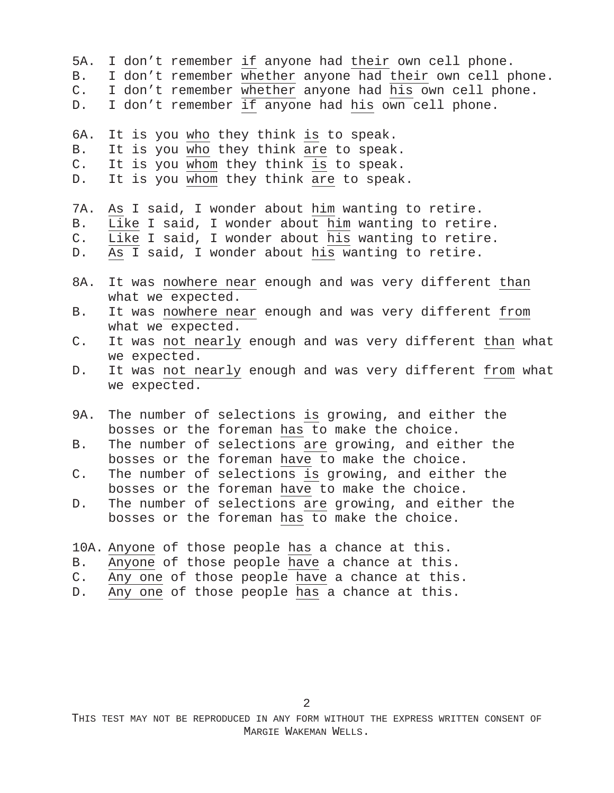- 5A. I don't remember if anyone had their own cell phone.
- B. I don't remember whether anyone had their own cell phone.
- C. I don't remember whether anyone had his own cell phone.
- D. I don't remember if anyone had his own cell phone.

6A. It is you who they think is to speak.

- B. It is you who they think are to speak.
- C. It is you whom they think is to speak.
- D. It is you whom they think are to speak.

7A. As I said, I wonder about him wanting to retire.

- B. Like I said, I wonder about him wanting to retire.
- C. Like I said, I wonder about his wanting to retire.
- D. As I said, I wonder about his wanting to retire.
- 8A. It was nowhere near enough and was very different than what we expected.
- B. It was nowhere near enough and was very different from what we expected.
- C. It was not nearly enough and was very different than what we expected.
- D. It was not nearly enough and was very different from what we expected.
- 9A. The number of selections is growing, and either the bosses or the foreman has to make the choice.
- B. The number of selections are growing, and either the bosses or the foreman have to make the choice.
- C. The number of selections is growing, and either the bosses or the foreman have to make the choice.
- D. The number of selections are growing, and either the bosses or the foreman has to make the choice.
- 10A. Anyone of those people has a chance at this.
- B. Anyone of those people have a chance at this.
- C. Any one of those people have a chance at this.
- D. Any one of those people has a chance at this.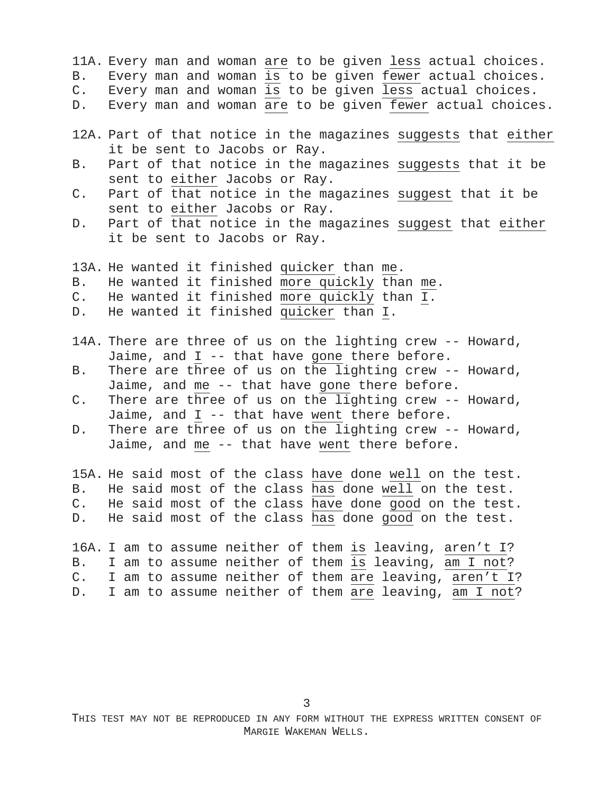11A. Every man and woman are to be given less actual choices.

- B. Every man and woman is to be given fewer actual choices.
- C. Every man and woman is to be given less actual choices.
- D. Every man and woman are to be given fewer actual choices.
- 12A. Part of that notice in the magazines suggests that either it be sent to Jacobs or Ray.
- B. Part of that notice in the magazines suggests that it be sent to either Jacobs or Ray.
- C. Part of that notice in the magazines suggest that it be sent to either Jacobs or Ray.
- D. Part of that notice in the magazines suggest that either it be sent to Jacobs or Ray.

13A. He wanted it finished quicker than me. B. He wanted it finished more quickly than me. C. He wanted it finished more quickly than I. D. He wanted it finished quicker than I.

- 14A. There are three of us on the lighting crew -- Howard, Jaime, and I -- that have gone there before.
- B. There are three of us on the lighting crew -- Howard, Jaime, and me -- that have gone there before.
- C. There are three of us on the lighting crew -- Howard, Jaime, and I -- that have went there before.
- D. There are three of us on the lighting crew -- Howard, Jaime, and me -- that have went there before.

15A. He said most of the class have done well on the test. B. He said most of the class has done well on the test. C. He said most of the class have done good on the test. D. He said most of the class  $\overline{\text{has}}$  done good on the test.

16A. I am to assume neither of them is leaving, aren't I? B. I am to assume neither of them is leaving, am I not? C. I am to assume neither of them are leaving, aren't I? D. I am to assume neither of them are leaving, am I not?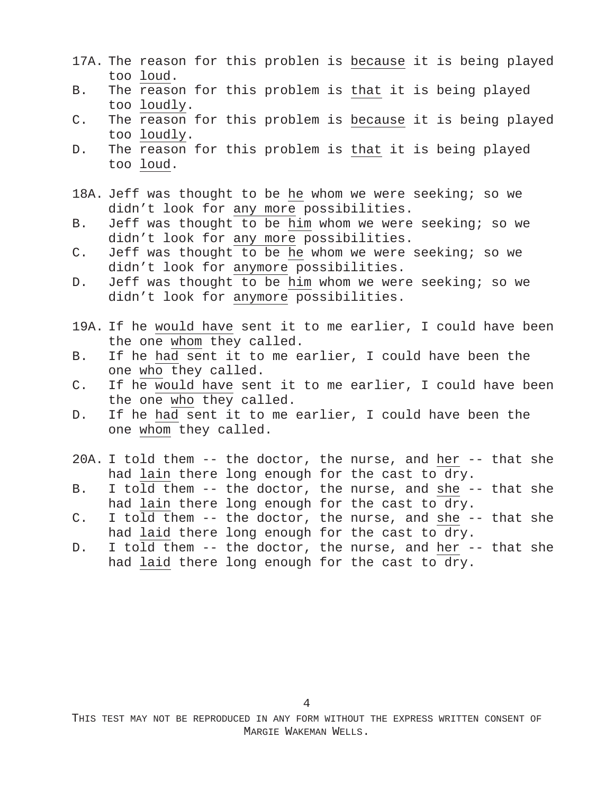- 17A. The reason for this problen is because it is being played too loud.
- B. The reason for this problem is that it is being played too loudly.
- C. The reason for this problem is because it is being played too loudly.
- D. The reason for this problem is that it is being played too loud.
- 18A. Jeff was thought to be he whom we were seeking; so we didn't look for any more possibilities.
- B. Jeff was thought to be him whom we were seeking; so we didn't look for any more possibilities.
- C. Jeff was thought to be he whom we were seeking; so we didn't look for anymore possibilities.
- D. Jeff was thought to be him whom we were seeking; so we didn't look for anymore possibilities.
- 19A. If he would have sent it to me earlier, I could have been the one whom they called.
- B. If he had sent it to me earlier, I could have been the one who they called.
- C. If he would have sent it to me earlier, I could have been the one who they called.
- D. If he had sent it to me earlier, I could have been the one whom they called.
- 20A. I told them -- the doctor, the nurse, and her -- that she had lain there long enough for the cast to dry.
- B. I told them -- the doctor, the nurse, and she -- that she had lain there long enough for the cast to dry.
- C. I told them  $-$  the doctor, the nurse, and she  $-$  that she had laid there long enough for the cast to dry.
- D. I told them -- the doctor, the nurse, and her -- that she had laid there long enough for the cast to dry.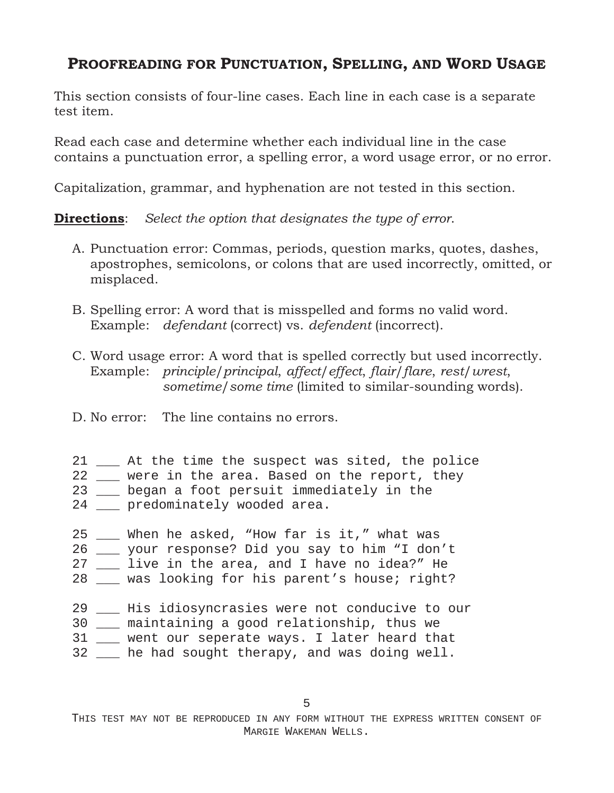## **PROOFREADING FOR PUNCTUATION, SPELLING, AND WORD USAGE**

This section consists of four-line cases. Each line in each case is a separate test item.

Read each case and determine whether each individual line in the case contains a punctuation error, a spelling error, a word usage error, or no error.

Capitalization, grammar, and hyphenation are not tested in this section.

**Directions**: *Select the option that designates the type of error*.

- A. Punctuation error: Commas, periods, question marks, quotes, dashes, apostrophes, semicolons, or colons that are used incorrectly, omitted, or misplaced.
- B. Spelling error: A word that is misspelled and forms no valid word. Example: *defendant* (correct) vs. *defendent* (incorrect).
- C. Word usage error: A word that is spelled correctly but used incorrectly. Example: *principle*/*principal*, *affect*/*effect*, *flair*/*flare*, *rest*/*wrest*, *sometime*/*some time* (limited to similar-sounding words).
- D. No error: The line contains no errors.
- 21 \_\_\_ At the time the suspect was sited, the police
- 22 \_\_\_ were in the area. Based on the report, they
- 23 \_\_\_ began a foot persuit immediately in the 24 \_\_\_ predominately wooded area.
- 25 When he asked, "How far is it," what was
- 26 \_\_\_ your response? Did you say to him "I don't
- 27 \_\_\_ live in the area, and I have no idea?" He
- 28 \_\_\_ was looking for his parent's house; right?
- 
- 29 \_\_\_ His idiosyncrasies were not conducive to our
- 30 \_\_\_ maintaining a good relationship, thus we
- 31 \_\_\_ went our seperate ways. I later heard that
- 32 \_\_\_ he had sought therapy, and was doing well.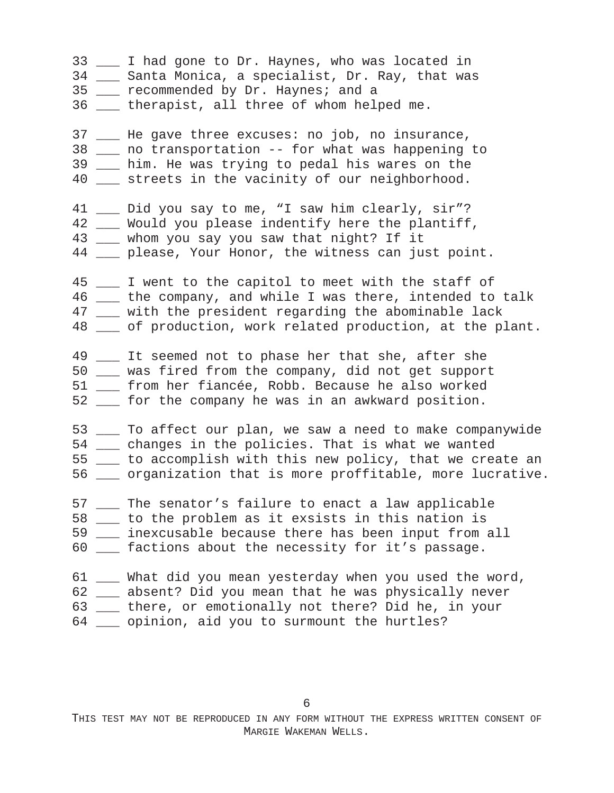\_\_\_ I had gone to Dr. Haynes, who was located in \_\_\_ Santa Monica, a specialist, Dr. Ray, that was \_\_\_ recommended by Dr. Haynes; and a \_\_\_ therapist, all three of whom helped me. \_\_\_ He gave three excuses: no job, no insurance, \_\_\_ no transportation - for what was happening to \_\_\_ him. He was trying to pedal his wares on the \_\_\_ streets in the vacinity of our neighborhood. \_\_\_ Did you say to me, "I saw him clearly, sir"? \_\_\_ Would you please indentify here the plantiff, \_\_\_ whom you say you saw that night? If it \_\_\_ please, Your Honor, the witness can just point. \_\_\_ I went to the capitol to meet with the staff of \_\_\_ the company, and while I was there, intended to talk \_\_\_ with the president regarding the abominable lack \_\_\_ of production, work related production, at the plant. 49 \_\_ It seemed not to phase her that she, after she \_\_\_ was fired from the company, did not get support \_\_\_ from her fiancée, Robb. Because he also worked \_\_\_ for the company he was in an awkward position. \_\_\_ To affect our plan, we saw a need to make companywide \_\_\_ changes in the policies. That is what we wanted \_\_\_ to accomplish with this new policy, that we create an \_\_\_ organization that is more proffitable, more lucrative. \_\_\_ The senator's failure to enact a law applicable \_\_\_ to the problem as it exsists in this nation is \_\_\_ inexcusable because there has been input from all \_\_\_ factions about the necessity for it's passage. \_\_\_ What did you mean yesterday when you used the word, \_\_\_ absent? Did you mean that he was physically never \_\_\_ there, or emotionally not there? Did he, in your \_\_\_ opinion, aid you to surmount the hurtles?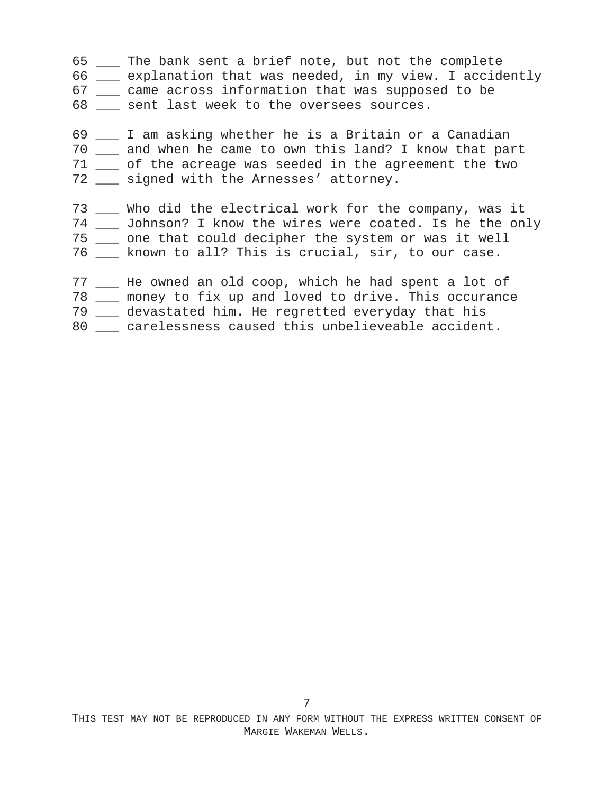- \_\_\_ The bank sent a brief note, but not the complete
- \_\_\_ explanation that was needed, in my view. I accidently
- \_\_\_ came across information that was supposed to be
- \_\_\_ sent last week to the oversees sources.
- \_\_\_ I am asking whether he is a Britain or a Canadian \_\_\_ and when he came to own this land? I know that part \_\_\_ of the acreage was seeded in the agreement the two 72 \_\_ signed with the Arnesses' attorney.
- \_\_\_ Who did the electrical work for the company, was it \_\_\_ Johnson? I know the wires were coated. Is he the only \_\_\_ one that could decipher the system or was it well
- \_\_\_ known to all? This is crucial, sir, to our case.
- \_\_\_ He owned an old coop, which he had spent a lot of
- \_\_\_ money to fix up and loved to drive. This occurance
- \_\_\_ devastated him. He regretted everyday that his
- 80 \_\_\_ carelessness caused this unbelieveable accident.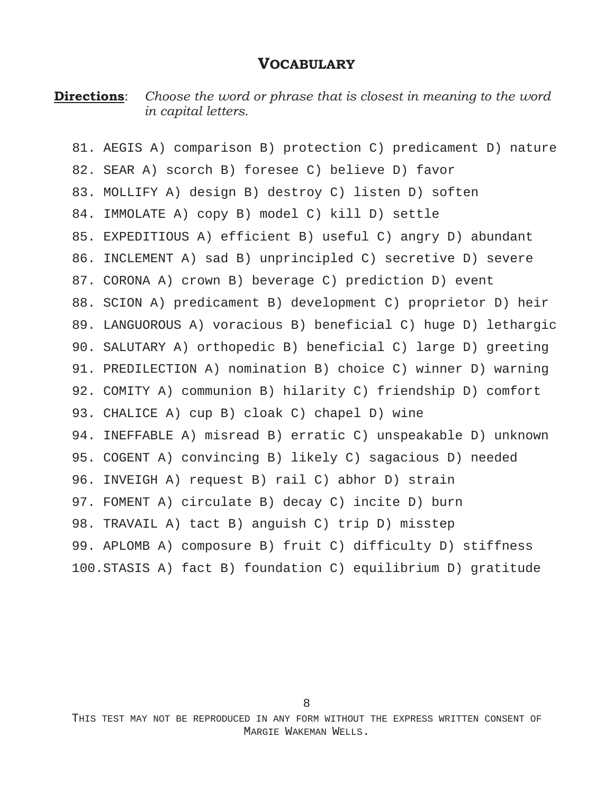#### **VOCABULARY**

**Directions**: *Choose the word or phrase that is closest in meaning to the word in capital letters.*

81. AEGIS A) comparison B) protection C) predicament D) nature 82. SEAR A) scorch B) foresee C) believe D) favor 83. MOLLIFY A) design B) destroy C) listen D) soften 84. IMMOLATE A) copy B) model C) kill D) settle 85. EXPEDITIOUS A) efficient B) useful C) angry D) abundant 86. INCLEMENT A) sad B) unprincipled C) secretive D) severe 87. CORONA A) crown B) beverage C) prediction D) event 88. SCION A) predicament B) development C) proprietor D) heir 89. LANGUOROUS A) voracious B) beneficial C) huge D) lethargic 90. SALUTARY A) orthopedic B) beneficial C) large D) greeting 91. PREDILECTION A) nomination B) choice C) winner D) warning 92. COMITY A) communion B) hilarity C) friendship D) comfort 93. CHALICE A) cup B) cloak C) chapel D) wine 94. INEFFABLE A) misread B) erratic C) unspeakable D) unknown 95. COGENT A) convincing B) likely C) sagacious D) needed 96. INVEIGH A) request B) rail C) abhor D) strain 97. FOMENT A) circulate B) decay C) incite D) burn 98. TRAVAIL A) tact B) anguish C) trip D) misstep 99. APLOMB A) composure B) fruit C) difficulty D) stiffness 100.STASIS A) fact B) foundation C) equilibrium D) gratitude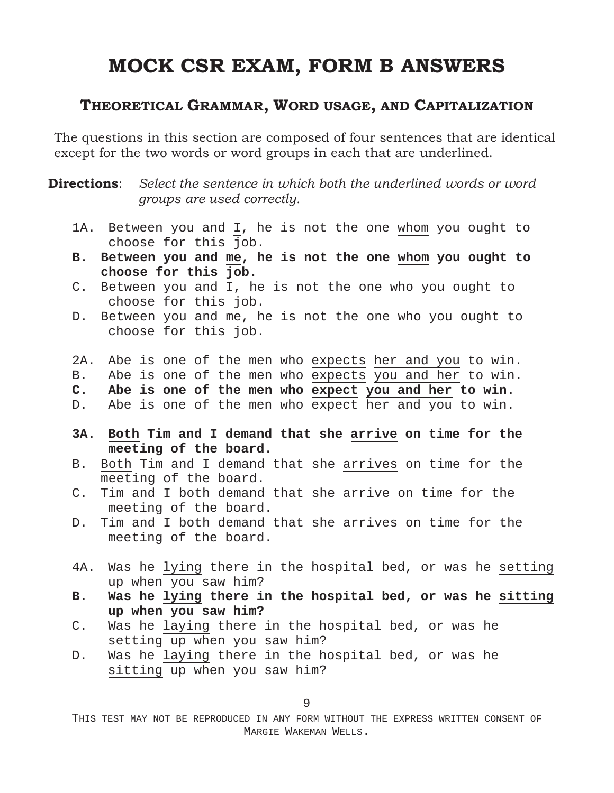# **MOCK CSR EXAM, FORM B ANSWERS**

### **THEORETICAL GRAMMAR, WORD USAGE, AND CAPITALIZATION**

The questions in this section are composed of four sentences that are identical except for the two words or word groups in each that are underlined.

**Directions**: *Select the sentence in which both the underlined words or word groups are used correctly.*

- 1A. Between you and I, he is not the one whom you ought to choose for this job.
- **B. Between you and me, he is not the one whom you ought to choose for this job.**
- C. Between you and I, he is not the one who you ought to choose for this job.
- D. Between you and me, he is not the one who you ought to choose for this job.

2A. Abe is one of the men who expects her and you to win.

- B. Abe is one of the men who expects you and her to win.
- **C. Abe is one of the men who expect you and her to win.**
- D. Abe is one of the men who expect her and you to win.
- **3A. Both Tim and I demand that she arrive on time for the meeting of the board.**
- B. Both Tim and I demand that she arrives on time for the meeting of the board.
- C. Tim and I both demand that she arrive on time for the meeting of the board.
- D. Tim and I both demand that she arrives on time for the meeting of the board.
- 4A. Was he lying there in the hospital bed, or was he setting up when you saw him?
- **B. Was he lying there in the hospital bed, or was he sitting up when you saw him?**
- C. Was he laying there in the hospital bed, or was he setting up when you saw him?
- D. Was he laying there in the hospital bed, or was he sitting up when you saw him?

9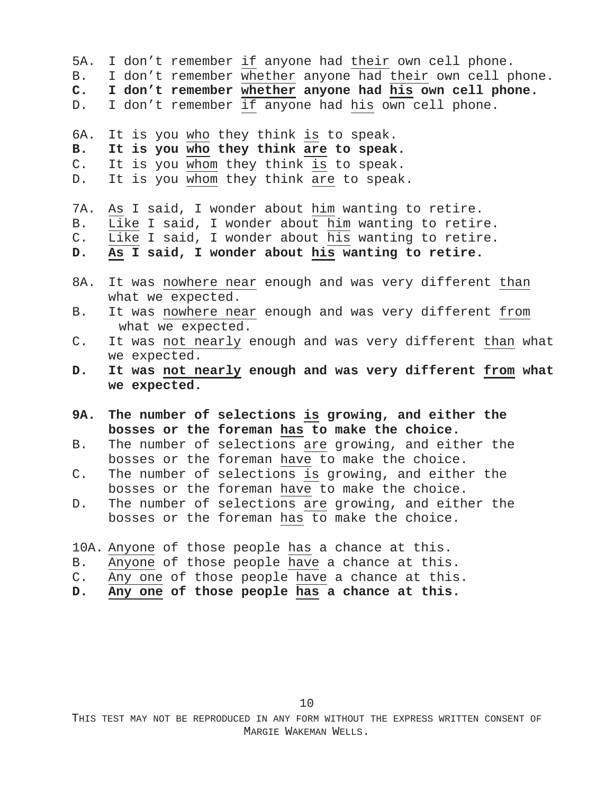- 5A. I don't remember if anyone had their own cell phone.
- B. I don't remember whether anyone had their own cell phone.
- **C. I don't remember whether anyone had his own cell phone.**
- D. I don't remember if anyone had his own cell phone.

6A. It is you who they think is to speak.

- **B. It is you who they think are to speak.**
- C. It is you whom they think is to speak.
- D. It is you whom they think are to speak.

7A. As I said, I wonder about him wanting to retire.

- B. Like I said, I wonder about him wanting to retire.
- C. Like I said, I wonder about his wanting to retire.
- **D. As I said, I wonder about his wanting to retire.**
- 8A. It was nowhere near enough and was very different than what we expected.
- B. It was nowhere near enough and was very different from what we expected.
- C. It was not nearly enough and was very different than what we expected.
- **D. It was not nearly enough and was very different from what we expected.**
- **9A. The number of selections is growing, and either the bosses or the foreman has to make the choice.**
- B. The number of selections are growing, and either the bosses or the foreman have to make the choice.
- C. The number of selections is growing, and either the bosses or the foreman have to make the choice.
- D. The number of selections are growing, and either the bosses or the foreman has to make the choice.
- 10A. Anyone of those people has a chance at this.
- B. Anyone of those people have a chance at this.
- C. Any one of those people have a chance at this.
- **D. Any one of those people has a chance at this.**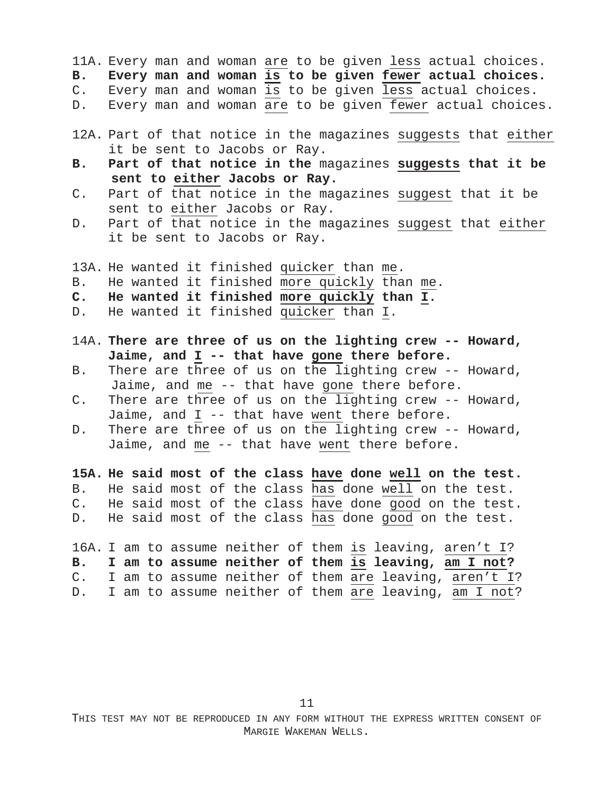11A. Every man and woman are to be given less actual choices. **B. Every man and woman is to be given fewer actual choices.**

C. Every man and woman is to be given less actual choices.

- D. Every man and woman are to be given fewer actual choices.
- 12A. Part of that notice in the magazines suggests that either it be sent to Jacobs or Ray.
- **B. Part of that notice in the** magazines **suggests that it be sent to either Jacobs or Ray.**
- C. Part of that notice in the magazines suggest that it be sent to either Jacobs or Ray.
- D. Part of that notice in the magazines suggest that either it be sent to Jacobs or Ray.

13A. He wanted it finished quicker than me. B. He wanted it finished more quickly than me. **C. He wanted it finished more quickly than I.** D. He wanted it finished quicker than I.

- 14A. **There are three of us on the lighting crew -- Howard, Jaime, and I -- that have gone there before.**
- B. There are three of us on the lighting crew -- Howard, Jaime, and me -- that have gone there before.
- C. There are three of us on the lighting crew -- Howard, Jaime, and I -- that have went there before.
- D. There are three of us on the lighting crew -- Howard, Jaime, and me -- that have went there before.

**15A. He said most of the class have done well on the test.** B. He said most of the class has done well on the test. C. He said most of the class have done good on the test. D. He said most of the class  $\overline{\text{has}}$  done good on the test.

16A. I am to assume neither of them is leaving, aren't I? **B. I am to assume neither of them is leaving, am I not?** C. I am to assume neither of them are leaving, aren't I? D. I am to assume neither of them are leaving, am I not?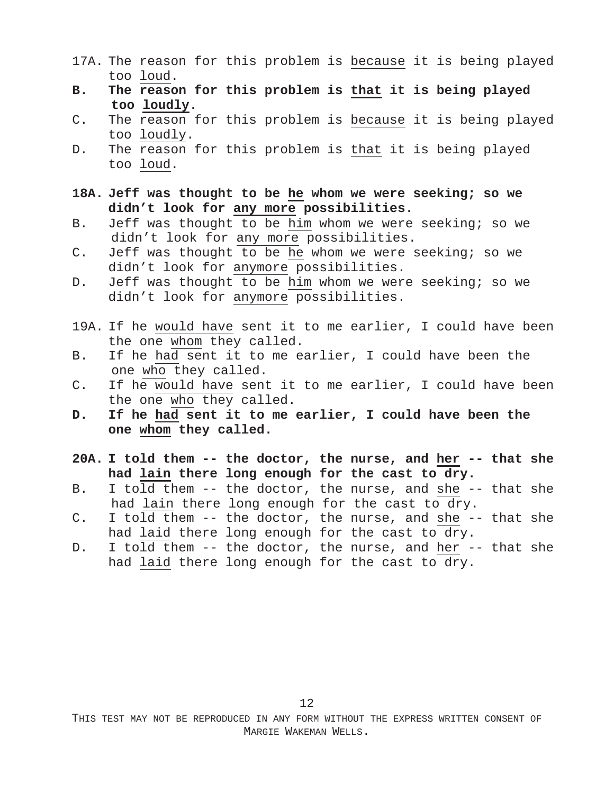- 17A. The reason for this problem is because it is being played too loud.
- **B. The reason for this problem is that it is being played too loudly.**
- C. The reason for this problem is because it is being played too loudly.
- D. The reason for this problem is that it is being played too loud.
- **18A. Jeff was thought to be he whom we were seeking; so we didn't look for any more possibilities.**
- B. Jeff was thought to be him whom we were seeking; so we didn't look for any more possibilities.
- C. Jeff was thought to be he whom we were seeking; so we didn't look for anymore possibilities.
- D. Jeff was thought to be him whom we were seeking; so we didn't look for anymore possibilities.
- 19A. If he would have sent it to me earlier, I could have been the one whom they called.
- B. If he had sent it to me earlier, I could have been the one who they called.
- C. If he would have sent it to me earlier, I could have been the one who they called.
- **D. If he had sent it to me earlier, I could have been the one whom they called.**
- **20A. I told them -- the doctor, the nurse, and her -- that she had lain there long enough for the cast to dry.**
- B. I told them -- the doctor, the nurse, and she -- that she had lain there long enough for the cast to dry.
- C. I told them -- the doctor, the nurse, and she -- that she had laid there long enough for the cast to dry.
- D. I told them -- the doctor, the nurse, and her -- that she had laid there long enough for the cast to dry.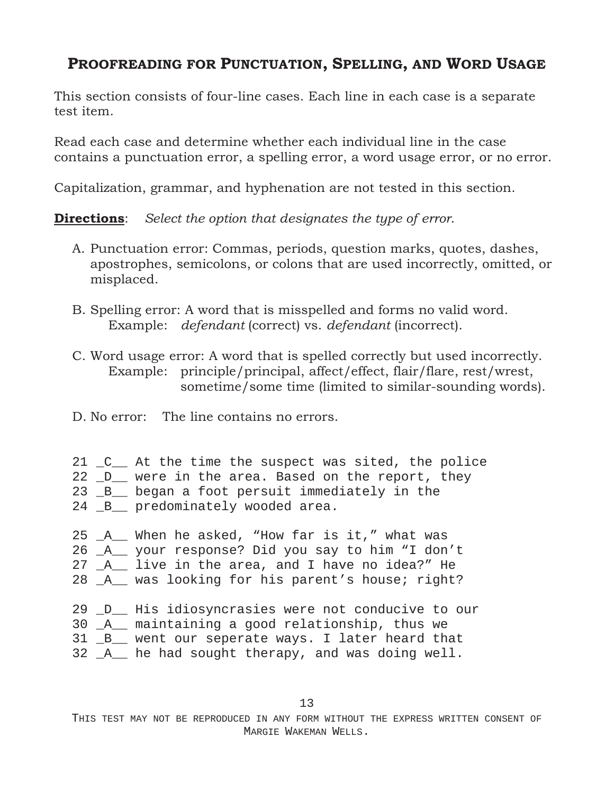## **PROOFREADING FOR PUNCTUATION, SPELLING, AND WORD USAGE**

This section consists of four-line cases. Each line in each case is a separate test item.

Read each case and determine whether each individual line in the case contains a punctuation error, a spelling error, a word usage error, or no error.

Capitalization, grammar, and hyphenation are not tested in this section.

**Directions**: *Select the option that designates the type of error*.

- A. Punctuation error: Commas, periods, question marks, quotes, dashes, apostrophes, semicolons, or colons that are used incorrectly, omitted, or misplaced.
- B. Spelling error: A word that is misspelled and forms no valid word. Example: *defendant* (correct) vs. *defendant* (incorrect).
- C. Word usage error: A word that is spelled correctly but used incorrectly. Example: principle/principal, affect/effect, flair/flare, rest/wrest, sometime/some time (limited to similar-sounding words).
- D. No error: The line contains no errors.
- 21 \_C\_\_ At the time the suspect was sited, the police 22 D were in the area. Based on the report, they 23 \_B\_\_ began a foot persuit immediately in the 24 B\_ predominately wooded area.
- 25 \_A\_\_ When he asked, "How far is it," what was
- 26 \_A\_\_ your response? Did you say to him "I don't 27 \_A\_\_ live in the area, and I have no idea?" He
- 28 \_A\_\_ was looking for his parent's house; right?
- 
- 29 \_D\_\_ His idiosyncrasies were not conducive to our
- 30 \_A\_\_ maintaining a good relationship, thus we
- 31 \_B\_\_ went our seperate ways. I later heard that
- 32 \_A\_\_ he had sought therapy, and was doing well.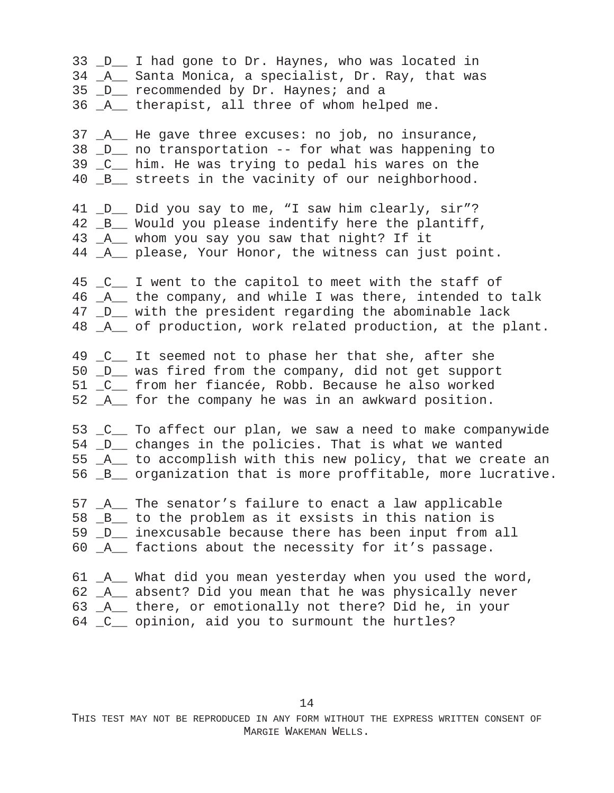\_D\_\_ I had gone to Dr. Haynes, who was located in \_A\_\_ Santa Monica, a specialist, Dr. Ray, that was \_D\_\_ recommended by Dr. Haynes; and a \_A\_\_ therapist, all three of whom helped me. \_A\_\_ He gave three excuses: no job, no insurance, \_D\_\_ no transportation - for what was happening to \_C\_\_ him. He was trying to pedal his wares on the \_B\_\_ streets in the vacinity of our neighborhood. \_D\_\_ Did you say to me, "I saw him clearly, sir"? \_B\_\_ Would you please indentify here the plantiff, \_A\_\_ whom you say you saw that night? If it \_A\_\_ please, Your Honor, the witness can just point. 45 \_C\_\_ I went to the capitol to meet with the staff of \_A\_\_ the company, and while I was there, intended to talk \_D\_\_ with the president regarding the abominable lack \_A\_\_ of production, work related production, at the plant. 49 \_C\_\_ It seemed not to phase her that she, after she \_D\_\_ was fired from the company, did not get support \_C\_\_ from her fiancée, Robb. Because he also worked \_A\_\_ for the company he was in an awkward position. \_C\_\_ To affect our plan, we saw a need to make companywide \_D\_\_ changes in the policies. That is what we wanted \_A\_\_ to accomplish with this new policy, that we create an \_B\_\_ organization that is more proffitable, more lucrative. \_A\_\_ The senator's failure to enact a law applicable \_B\_\_ to the problem as it exsists in this nation is \_D\_\_ inexcusable because there has been input from all \_A\_\_ factions about the necessity for it's passage. \_A\_\_ What did you mean yesterday when you used the word, \_A\_\_ absent? Did you mean that he was physically never \_A\_\_ there, or emotionally not there? Did he, in your \_C\_\_ opinion, aid you to surmount the hurtles?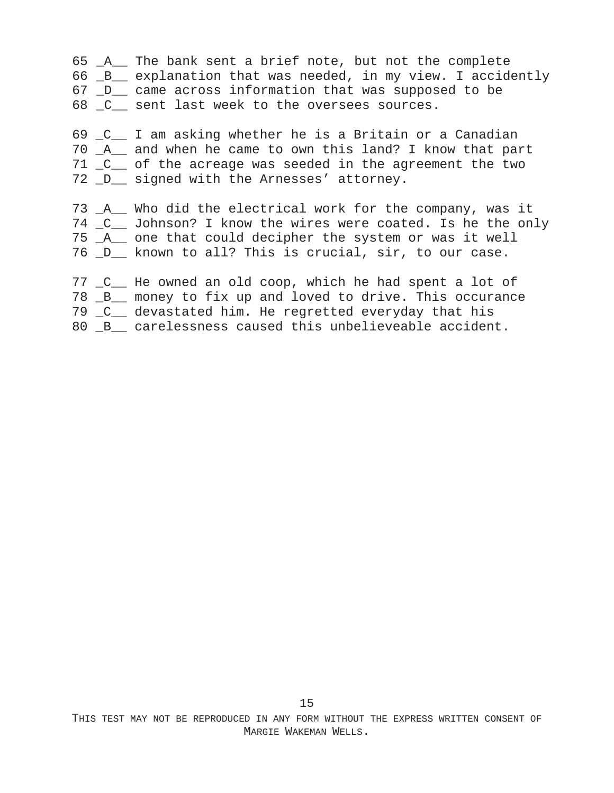\_A\_\_ The bank sent a brief note, but not the complete \_B\_\_ explanation that was needed, in my view. I accidently \_D\_\_ came across information that was supposed to be \_C\_\_ sent last week to the oversees sources.

 \_C\_\_ I am asking whether he is a Britain or a Canadian \_A\_\_ and when he came to own this land? I know that part \_C\_\_ of the acreage was seeded in the agreement the two \_D\_\_ signed with the Arnesses' attorney.

 \_A\_\_ Who did the electrical work for the company, was it \_C\_\_ Johnson? I know the wires were coated. Is he the only \_A\_\_ one that could decipher the system or was it well \_D\_\_ known to all? This is crucial, sir, to our case.

\_C\_\_ He owned an old coop, which he had spent a lot of

\_B\_\_ money to fix up and loved to drive. This occurance

\_C\_\_ devastated him. He regretted everyday that his

80  $B_{\text{max}}$  carelessness caused this unbelieveable accident.